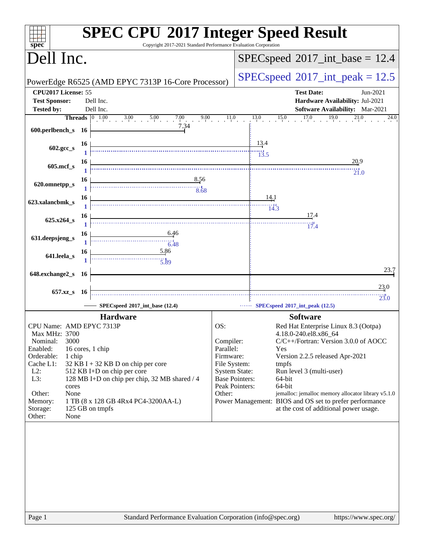| Copyright 2017-2021 Standard Performance Evaluation Corporation<br>$spec^*$                                                                                                                                                                                                                                                                                                                                                                                                        | <b>SPEC CPU®2017 Integer Speed Result</b>                                                                                                                                                                                                                                                                                                                                                                                                                                                                      |
|------------------------------------------------------------------------------------------------------------------------------------------------------------------------------------------------------------------------------------------------------------------------------------------------------------------------------------------------------------------------------------------------------------------------------------------------------------------------------------|----------------------------------------------------------------------------------------------------------------------------------------------------------------------------------------------------------------------------------------------------------------------------------------------------------------------------------------------------------------------------------------------------------------------------------------------------------------------------------------------------------------|
| Dell Inc.                                                                                                                                                                                                                                                                                                                                                                                                                                                                          | $SPEC speed^{\circ}2017\_int\_base = 12.4$                                                                                                                                                                                                                                                                                                                                                                                                                                                                     |
| PowerEdge R6525 (AMD EPYC 7313P 16-Core Processor)                                                                                                                                                                                                                                                                                                                                                                                                                                 | $SPEC speed^{\circ}2017\_int\_peak = 12.5$                                                                                                                                                                                                                                                                                                                                                                                                                                                                     |
| CPU2017 License: 55<br><b>Test Sponsor:</b><br>Dell Inc.                                                                                                                                                                                                                                                                                                                                                                                                                           | <b>Test Date:</b><br>Jun-2021<br>Hardware Availability: Jul-2021                                                                                                                                                                                                                                                                                                                                                                                                                                               |
| Dell Inc.<br><b>Tested by:</b>                                                                                                                                                                                                                                                                                                                                                                                                                                                     | <b>Software Availability:</b> Mar-2021                                                                                                                                                                                                                                                                                                                                                                                                                                                                         |
|                                                                                                                                                                                                                                                                                                                                                                                                                                                                                    | <b>Threads</b> $\begin{bmatrix} 0 & 1.00 & 3.00 & 5.00 & 7.00 & 9.00 & 11.0 & 13.0 & 15.0 & 17.0 & 19.0 & 21.0 \end{bmatrix}$<br>24.0                                                                                                                                                                                                                                                                                                                                                                          |
| 7.34<br>600.perlbench_s $16$                                                                                                                                                                                                                                                                                                                                                                                                                                                       |                                                                                                                                                                                                                                                                                                                                                                                                                                                                                                                |
| <b>16</b><br>$\frac{13.4}{13.5}$<br>602.gcc_s                                                                                                                                                                                                                                                                                                                                                                                                                                      |                                                                                                                                                                                                                                                                                                                                                                                                                                                                                                                |
| 16<br>605.mcf_s                                                                                                                                                                                                                                                                                                                                                                                                                                                                    | 20.9<br>$\overline{21.0}$                                                                                                                                                                                                                                                                                                                                                                                                                                                                                      |
| $\begin{array}{c c c c} 6 & & 8.56 \\ \hline 1 & & & & 8.68 \\ \hline \end{array}$<br>16<br>620.omnetpp_s                                                                                                                                                                                                                                                                                                                                                                          |                                                                                                                                                                                                                                                                                                                                                                                                                                                                                                                |
| $\begin{array}{ c c c }\n\hline\n1 & \overline{\phantom{1}} & \phantom{1} & \phantom{1} & \phantom{1} \\ \hline\n1 & \phantom{1} & \phantom{1} & \phantom{1} & \phantom{1} & \phantom{1} \\ \hline\n1 & \phantom{1} & \phantom{1} & \phantom{1} & \phantom{1} & \phantom{1} \\ \hline\n1 & \phantom{1} & \phantom{1} & \phantom{1} & \phantom{1} & \phantom{1} \\ \hline\n1 & \phantom{1} & \phantom{1} & \phantom{1} & \phantom{1} & \phantom{1} \\ \hline\n1$<br>623.xalancbmk_s |                                                                                                                                                                                                                                                                                                                                                                                                                                                                                                                |
|                                                                                                                                                                                                                                                                                                                                                                                                                                                                                    | $\frac{17.4}{2}$<br>$\overline{17.4}$                                                                                                                                                                                                                                                                                                                                                                                                                                                                          |
| $\begin{array}{c c}\n6.46 \\ 1 \end{array}$<br>16<br>631.deepsjeng_s                                                                                                                                                                                                                                                                                                                                                                                                               |                                                                                                                                                                                                                                                                                                                                                                                                                                                                                                                |
| $\frac{5.86}{5.89}$<br><b>16</b><br>641.leela_s                                                                                                                                                                                                                                                                                                                                                                                                                                    |                                                                                                                                                                                                                                                                                                                                                                                                                                                                                                                |
| 648.exchange2_s 16                                                                                                                                                                                                                                                                                                                                                                                                                                                                 | 23.7                                                                                                                                                                                                                                                                                                                                                                                                                                                                                                           |
| 657.xz_s 16                                                                                                                                                                                                                                                                                                                                                                                                                                                                        | 23.0<br>$\overline{23.0}$                                                                                                                                                                                                                                                                                                                                                                                                                                                                                      |
| SPECspeed®2017_int_base (12.4)                                                                                                                                                                                                                                                                                                                                                                                                                                                     | $\cdots$ SPECspeed®2017_int_peak (12.5)                                                                                                                                                                                                                                                                                                                                                                                                                                                                        |
| <b>Hardware</b>                                                                                                                                                                                                                                                                                                                                                                                                                                                                    | <b>Software</b>                                                                                                                                                                                                                                                                                                                                                                                                                                                                                                |
| CPU Name: AMD EPYC 7313P<br>Max MHz: 3700<br>Nominal:<br>3000<br>Enabled:<br>16 cores, 1 chip<br>Orderable:<br>1 chip<br>Cache L1:<br>32 KB I + 32 KB D on chip per core<br>$L2$ :<br>512 KB I+D on chip per core<br>128 MB I+D on chip per chip, 32 MB shared / 4<br>L3:<br>cores<br>None<br>Other:<br>1 TB (8 x 128 GB 4Rx4 PC4-3200AA-L)<br>Memory:<br>125 GB on tmpfs<br>Storage:<br>Other:<br>None                                                                            | OS:<br>Red Hat Enterprise Linux 8.3 (Ootpa)<br>4.18.0-240.el8.x86_64<br>C/C++/Fortran: Version 3.0.0 of AOCC<br>Compiler:<br>Parallel:<br>Yes<br>Firmware:<br>Version 2.2.5 released Apr-2021<br>File System:<br>tmpfs<br><b>System State:</b><br>Run level 3 (multi-user)<br><b>Base Pointers:</b><br>64-bit<br>Peak Pointers:<br>64-bit<br>Other:<br>jemalloc: jemalloc memory allocator library v5.1.0<br>Power Management: BIOS and OS set to prefer performance<br>at the cost of additional power usage. |
| Standard Performance Evaluation Corporation (info@spec.org)<br>Page 1                                                                                                                                                                                                                                                                                                                                                                                                              | https://www.spec.org/                                                                                                                                                                                                                                                                                                                                                                                                                                                                                          |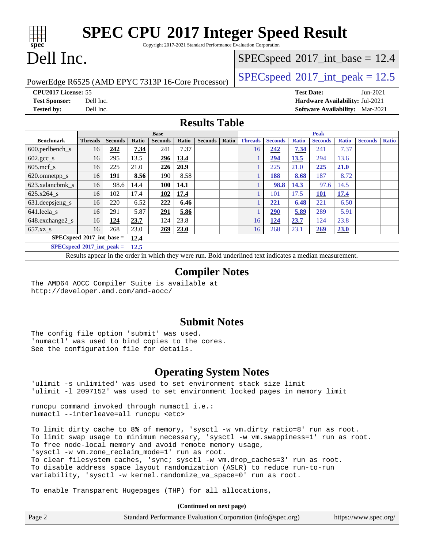# **[SPEC CPU](http://www.spec.org/auto/cpu2017/Docs/result-fields.html#SPECCPU2017IntegerSpeedResult)[2017 Integer Speed Result](http://www.spec.org/auto/cpu2017/Docs/result-fields.html#SPECCPU2017IntegerSpeedResult)**

Copyright 2017-2021 Standard Performance Evaluation Corporation

# Dell Inc.

**[spec](http://www.spec.org/)**

 $+\ +$ 

### $SPECspeed^{\circ}2017\_int\_base = 12.4$  $SPECspeed^{\circ}2017\_int\_base = 12.4$

PowerEdge R6525 (AMD EPYC 7313P 16-Core Processor) [SPECspeed](http://www.spec.org/auto/cpu2017/Docs/result-fields.html#SPECspeed2017intpeak)®2017\_int\_peak =  $12.5$ 

**[CPU2017 License:](http://www.spec.org/auto/cpu2017/Docs/result-fields.html#CPU2017License)** 55 **[Test Date:](http://www.spec.org/auto/cpu2017/Docs/result-fields.html#TestDate)** Jun-2021 **[Test Sponsor:](http://www.spec.org/auto/cpu2017/Docs/result-fields.html#TestSponsor)** Dell Inc. **[Hardware Availability:](http://www.spec.org/auto/cpu2017/Docs/result-fields.html#HardwareAvailability)** Jul-2021 **[Tested by:](http://www.spec.org/auto/cpu2017/Docs/result-fields.html#Testedby)** Dell Inc. **[Software Availability:](http://www.spec.org/auto/cpu2017/Docs/result-fields.html#SoftwareAvailability)** Mar-2021

### **[Results Table](http://www.spec.org/auto/cpu2017/Docs/result-fields.html#ResultsTable)**

|                                | <b>Base</b>    |                |       | <b>Peak</b>       |       |                |       |                |                |              |                |              |                |              |
|--------------------------------|----------------|----------------|-------|-------------------|-------|----------------|-------|----------------|----------------|--------------|----------------|--------------|----------------|--------------|
| <b>Benchmark</b>               | <b>Threads</b> | <b>Seconds</b> | Ratio | <b>Seconds</b>    | Ratio | <b>Seconds</b> | Ratio | <b>Threads</b> | <b>Seconds</b> | <b>Ratio</b> | <b>Seconds</b> | <b>Ratio</b> | <b>Seconds</b> | <b>Ratio</b> |
| $600.$ perlbench $\mathsf{S}$  | 16             | 242            | 7.34  | 241               | 7.37  |                |       | 16             | 242            | 7.34         | 241            | 7.37         |                |              |
| $602.\text{gcc}\s$             | 16             | 295            | 13.5  | 296               | 13.4  |                |       |                | <u>294</u>     | 13.5         | 294            | 13.6         |                |              |
| $605$ .mcf s                   | 16             | 225            | 21.0  | 226               | 20.9  |                |       |                | 225            | 21.0         | 225            | 21.0         |                |              |
| 620.omnetpp_s                  | 16             | <u> 191</u>    | 8.56  | 190               | 8.58  |                |       |                | 188            | 8.68         | 187            | 8.72         |                |              |
| 623.xalancbmk s                | 16             | 98.6           | 14.4  | <b>100</b>        | 14.1  |                |       |                | 98.8           | 14.3         | 97.6           | 14.5         |                |              |
| 625.x264 s                     | 16             | 102            | 17.4  | $\underline{102}$ | 17.4  |                |       |                | 101            | 17.5         | <b>101</b>     | 17.4         |                |              |
| $631.$ deepsjeng $s$           | 16             | 220            | 6.52  | 222               | 6.46  |                |       |                | 221            | 6.48         | 221            | 6.50         |                |              |
| 641.leela s                    | 16             | 291            | 5.87  | 291               | 5.86  |                |       |                | <u>290</u>     | 5.89         | 289            | 5.91         |                |              |
| 648.exchange2_s                | 16             | <u>124</u>     | 23.7  | 124               | 23.8  |                |       | 16             | <u>124</u>     | 23.7         | 124            | 23.8         |                |              |
| 657.xz s                       | 16             | 268            | 23.0  | 269               | 23.0  |                |       | 16             | 268            | 23.1         | 269            | 23.0         |                |              |
| $SPECspeed*2017$ _int_base =   |                |                | 12.4  |                   |       |                |       |                |                |              |                |              |                |              |
| $SPEC speed*2017\_int\_peak =$ |                |                | 12.5  |                   |       |                |       |                |                |              |                |              |                |              |

Results appear in the [order in which they were run.](http://www.spec.org/auto/cpu2017/Docs/result-fields.html#RunOrder) Bold underlined text [indicates a median measurement.](http://www.spec.org/auto/cpu2017/Docs/result-fields.html#Median)

### **[Compiler Notes](http://www.spec.org/auto/cpu2017/Docs/result-fields.html#CompilerNotes)**

The AMD64 AOCC Compiler Suite is available at <http://developer.amd.com/amd-aocc/>

### **[Submit Notes](http://www.spec.org/auto/cpu2017/Docs/result-fields.html#SubmitNotes)**

The config file option 'submit' was used. 'numactl' was used to bind copies to the cores. See the configuration file for details.

### **[Operating System Notes](http://www.spec.org/auto/cpu2017/Docs/result-fields.html#OperatingSystemNotes)**

'ulimit -s unlimited' was used to set environment stack size limit 'ulimit -l 2097152' was used to set environment locked pages in memory limit

runcpu command invoked through numactl i.e.: numactl --interleave=all runcpu <etc>

To limit dirty cache to 8% of memory, 'sysctl -w vm.dirty\_ratio=8' run as root. To limit swap usage to minimum necessary, 'sysctl -w vm.swappiness=1' run as root. To free node-local memory and avoid remote memory usage, 'sysctl -w vm.zone\_reclaim\_mode=1' run as root. To clear filesystem caches, 'sync; sysctl -w vm.drop\_caches=3' run as root. To disable address space layout randomization (ASLR) to reduce run-to-run variability, 'sysctl -w kernel.randomize\_va\_space=0' run as root.

To enable Transparent Hugepages (THP) for all allocations,

**(Continued on next page)**

| Page 2 | Standard Performance Evaluation Corporation (info@spec.org) | https://www.spec.org/ |
|--------|-------------------------------------------------------------|-----------------------|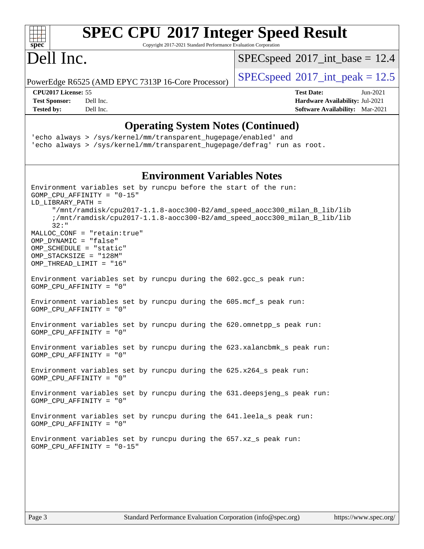| $spec^*$                                                                                              |                                                    |  | <b>SPEC CPU®2017 Integer Speed Result</b><br>Copyright 2017-2021 Standard Performance Evaluation Corporation                                                                            |
|-------------------------------------------------------------------------------------------------------|----------------------------------------------------|--|-----------------------------------------------------------------------------------------------------------------------------------------------------------------------------------------|
| Dell Inc.                                                                                             |                                                    |  | $SPEC speed^{\circ}2017\_int\_base = 12.4$                                                                                                                                              |
|                                                                                                       | PowerEdge R6525 (AMD EPYC 7313P 16-Core Processor) |  | $SPEC speed^{\circ}2017\_int\_peak = 12.5$                                                                                                                                              |
| CPU2017 License: 55<br><b>Test Sponsor:</b>                                                           | Dell Inc.                                          |  | <b>Test Date:</b><br>$Jun-2021$<br>Hardware Availability: Jul-2021                                                                                                                      |
| <b>Tested by:</b>                                                                                     | Dell Inc.                                          |  | <b>Software Availability:</b> Mar-2021                                                                                                                                                  |
|                                                                                                       |                                                    |  | <b>Operating System Notes (Continued)</b><br>'echo always > /sys/kernel/mm/transparent_hugepage/enabled' and<br>'echo always > /sys/kernel/mm/transparent_hugepage/defrag' run as root. |
|                                                                                                       |                                                    |  | <b>Environment Variables Notes</b>                                                                                                                                                      |
| LD LIBRARY PATH =                                                                                     | $GOMP_CPU_AFFINITY = "0-15"$                       |  | Environment variables set by runcpu before the start of the run:                                                                                                                        |
| $32:$ "                                                                                               |                                                    |  | "/mnt/ramdisk/cpu2017-1.1.8-aocc300-B2/amd_speed_aocc300_milan_B_lib/lib<br>;/mnt/ramdisk/cpu2017-1.1.8-aocc300-B2/amd_speed_aocc300_milan_B_lib/lib                                    |
| OMP_DYNAMIC = "false"<br>OMP_SCHEDULE = "static"<br>OMP STACKSIZE = "128M"<br>OMP_THREAD_LIMIT = "16" | MALLOC_CONF = "retain:true"                        |  |                                                                                                                                                                                         |
| GOMP_CPU_AFFINITY = "0"                                                                               |                                                    |  | Environment variables set by runcpu during the 602.gcc_s peak run:                                                                                                                      |
| GOMP_CPU_AFFINITY = "0"                                                                               |                                                    |  | Environment variables set by runcpu during the 605.mcf_s peak run:                                                                                                                      |
| GOMP_CPU_AFFINITY = "0"                                                                               |                                                    |  | Environment variables set by runcpu during the 620.omnetpp_s peak run:                                                                                                                  |
| GOMP_CPU_AFFINITY = "0"                                                                               |                                                    |  | Environment variables set by runcpu during the 623.xalancbmk_s peak run:                                                                                                                |
| GOMP_CPU_AFFINITY = "0"                                                                               |                                                    |  | Environment variables set by runcpu during the $625.x264_s$ peak run:                                                                                                                   |
| $GOMP_CPU_AFFINITY = "0"$                                                                             |                                                    |  | Environment variables set by runcpu during the 631.deepsjeng s peak run:                                                                                                                |
| GOMP_CPU_AFFINITY = "0"                                                                               |                                                    |  | Environment variables set by runcpu during the 641.leela_s peak run:                                                                                                                    |
|                                                                                                       | GOMP CPU AFFINITY = $"0-15"$                       |  | Environment variables set by runcpu during the 657.xz_s peak run:                                                                                                                       |
|                                                                                                       |                                                    |  |                                                                                                                                                                                         |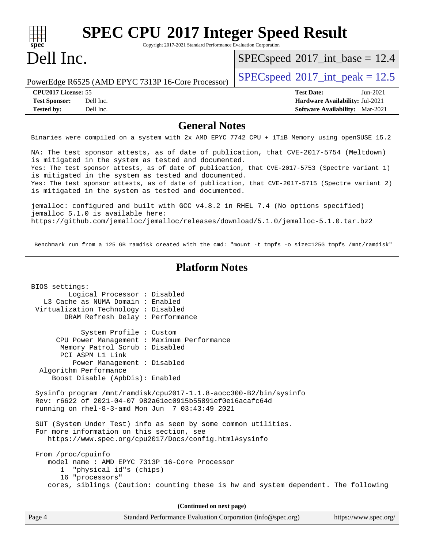| <b>SPEC CPU®2017 Integer Speed Result</b>                                                                                                                |                                                                           |  |  |  |  |
|----------------------------------------------------------------------------------------------------------------------------------------------------------|---------------------------------------------------------------------------|--|--|--|--|
| $spec^*$<br>Copyright 2017-2021 Standard Performance Evaluation Corporation                                                                              |                                                                           |  |  |  |  |
| Dell Inc.                                                                                                                                                | $SPEC speed^{\circ}2017\_int\_base = 12.4$                                |  |  |  |  |
| PowerEdge R6525 (AMD EPYC 7313P 16-Core Processor)                                                                                                       | $SPEC speed^{\circ}2017\_int\_peak = 12.5$                                |  |  |  |  |
| CPU2017 License: 55                                                                                                                                      | <b>Test Date:</b><br>Jun-2021                                             |  |  |  |  |
| <b>Test Sponsor:</b><br>Dell Inc.<br>Dell Inc.<br><b>Tested by:</b>                                                                                      | Hardware Availability: Jul-2021<br><b>Software Availability:</b> Mar-2021 |  |  |  |  |
| <b>General Notes</b>                                                                                                                                     |                                                                           |  |  |  |  |
| Binaries were compiled on a system with 2x AMD EPYC 7742 CPU + 1TiB Memory using openSUSE 15.2                                                           |                                                                           |  |  |  |  |
| NA: The test sponsor attests, as of date of publication, that CVE-2017-5754 (Meltdown)<br>is mitigated in the system as tested and documented.           |                                                                           |  |  |  |  |
| Yes: The test sponsor attests, as of date of publication, that CVE-2017-5753 (Spectre variant 1)<br>is mitigated in the system as tested and documented. |                                                                           |  |  |  |  |
| Yes: The test sponsor attests, as of date of publication, that CVE-2017-5715 (Spectre variant 2)<br>is mitigated in the system as tested and documented. |                                                                           |  |  |  |  |
| jemalloc: configured and built with GCC v4.8.2 in RHEL 7.4 (No options specified)<br>jemalloc 5.1.0 is available here:                                   |                                                                           |  |  |  |  |
| https://github.com/jemalloc/jemalloc/releases/download/5.1.0/jemalloc-5.1.0.tar.bz2                                                                      |                                                                           |  |  |  |  |
| Benchmark run from a 125 GB ramdisk created with the cmd: "mount -t tmpfs -o size=125G tmpfs /mnt/ramdisk"                                               |                                                                           |  |  |  |  |
| <b>Platform Notes</b>                                                                                                                                    |                                                                           |  |  |  |  |
| BIOS settings:                                                                                                                                           |                                                                           |  |  |  |  |
| Logical Processor : Disabled                                                                                                                             |                                                                           |  |  |  |  |
| L3 Cache as NUMA Domain : Enabled                                                                                                                        |                                                                           |  |  |  |  |
| Virtualization Technology : Disabled                                                                                                                     |                                                                           |  |  |  |  |
| DRAM Refresh Delay : Performance                                                                                                                         |                                                                           |  |  |  |  |
| System Profile : Custom                                                                                                                                  |                                                                           |  |  |  |  |
| CPU Power Management : Maximum Performance                                                                                                               |                                                                           |  |  |  |  |
| Memory Patrol Scrub : Disabled                                                                                                                           |                                                                           |  |  |  |  |
| PCI ASPM L1 Link<br>Power Management : Disabled                                                                                                          |                                                                           |  |  |  |  |
| Algorithm Performance                                                                                                                                    |                                                                           |  |  |  |  |
| Boost Disable (ApbDis): Enabled                                                                                                                          |                                                                           |  |  |  |  |
| Sysinfo program /mnt/ramdisk/cpu2017-1.1.8-aocc300-B2/bin/sysinfo                                                                                        |                                                                           |  |  |  |  |
| Rev: r6622 of 2021-04-07 982a61ec0915b55891ef0e16acafc64d<br>running on rhel-8-3-amd Mon Jun $7$ 03:43:49 2021                                           |                                                                           |  |  |  |  |
| SUT (System Under Test) info as seen by some common utilities.                                                                                           |                                                                           |  |  |  |  |
| For more information on this section, see<br>https://www.spec.org/cpu2017/Docs/config.html#sysinfo                                                       |                                                                           |  |  |  |  |
| From /proc/cpuinfo                                                                                                                                       |                                                                           |  |  |  |  |
| model name: AMD EPYC 7313P 16-Core Processor<br>"physical id"s (chips)<br>$\mathbf{1}$                                                                   |                                                                           |  |  |  |  |
| 16 "processors"<br>cores, siblings (Caution: counting these is hw and system dependent. The following                                                    |                                                                           |  |  |  |  |
| (Continued on next page)                                                                                                                                 |                                                                           |  |  |  |  |
|                                                                                                                                                          |                                                                           |  |  |  |  |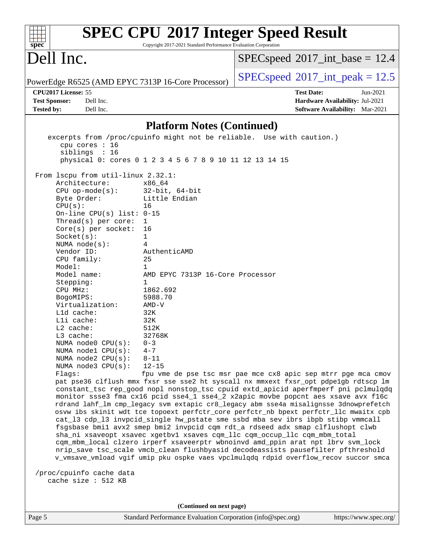| $spec^*$                                                                                                                                                                                                                                                                                                                                                                                                                                                                                                                                              | Copyright 2017-2021 Standard Performance Evaluation Corporation                                                                                                                                                                                                            | <b>SPEC CPU®2017 Integer Speed Result</b>                                                                                                                                                                                                                                                                                                                                                                                                                                                                                                                                                                                                                                                                                                                                                                                                                                                                                                                                                                                      |
|-------------------------------------------------------------------------------------------------------------------------------------------------------------------------------------------------------------------------------------------------------------------------------------------------------------------------------------------------------------------------------------------------------------------------------------------------------------------------------------------------------------------------------------------------------|----------------------------------------------------------------------------------------------------------------------------------------------------------------------------------------------------------------------------------------------------------------------------|--------------------------------------------------------------------------------------------------------------------------------------------------------------------------------------------------------------------------------------------------------------------------------------------------------------------------------------------------------------------------------------------------------------------------------------------------------------------------------------------------------------------------------------------------------------------------------------------------------------------------------------------------------------------------------------------------------------------------------------------------------------------------------------------------------------------------------------------------------------------------------------------------------------------------------------------------------------------------------------------------------------------------------|
| Dell Inc.                                                                                                                                                                                                                                                                                                                                                                                                                                                                                                                                             |                                                                                                                                                                                                                                                                            | $SPEC speed$ <sup>®</sup> 2017_int_base = 12.4                                                                                                                                                                                                                                                                                                                                                                                                                                                                                                                                                                                                                                                                                                                                                                                                                                                                                                                                                                                 |
| PowerEdge R6525 (AMD EPYC 7313P 16-Core Processor)                                                                                                                                                                                                                                                                                                                                                                                                                                                                                                    |                                                                                                                                                                                                                                                                            | $SPEC speed^{\circ}2017\_int\_peak = 12.5$                                                                                                                                                                                                                                                                                                                                                                                                                                                                                                                                                                                                                                                                                                                                                                                                                                                                                                                                                                                     |
| CPU2017 License: 55<br><b>Test Sponsor:</b><br>Dell Inc.<br>Dell Inc.<br><b>Tested by:</b>                                                                                                                                                                                                                                                                                                                                                                                                                                                            |                                                                                                                                                                                                                                                                            | <b>Test Date:</b><br>Jun-2021<br>Hardware Availability: Jul-2021<br><b>Software Availability:</b> Mar-2021                                                                                                                                                                                                                                                                                                                                                                                                                                                                                                                                                                                                                                                                                                                                                                                                                                                                                                                     |
|                                                                                                                                                                                                                                                                                                                                                                                                                                                                                                                                                       |                                                                                                                                                                                                                                                                            |                                                                                                                                                                                                                                                                                                                                                                                                                                                                                                                                                                                                                                                                                                                                                                                                                                                                                                                                                                                                                                |
|                                                                                                                                                                                                                                                                                                                                                                                                                                                                                                                                                       | <b>Platform Notes (Continued)</b>                                                                                                                                                                                                                                          |                                                                                                                                                                                                                                                                                                                                                                                                                                                                                                                                                                                                                                                                                                                                                                                                                                                                                                                                                                                                                                |
| cpu cores : 16<br>siblings : 16                                                                                                                                                                                                                                                                                                                                                                                                                                                                                                                       | physical 0: cores 0 1 2 3 4 5 6 7 8 9 10 11 12 13 14 15                                                                                                                                                                                                                    | excerpts from /proc/cpuinfo might not be reliable. Use with caution.)                                                                                                                                                                                                                                                                                                                                                                                                                                                                                                                                                                                                                                                                                                                                                                                                                                                                                                                                                          |
| From lscpu from util-linux 2.32.1:<br>Architecture:<br>$CPU$ op-mode( $s$ ):<br>Byte Order:<br>CPU(s):<br>On-line CPU(s) list: $0-15$<br>Thread(s) per core:<br>Core(s) per socket:<br>Socket(s):<br>NUMA $node(s):$<br>Vendor ID:<br>CPU family:<br>Model:<br>Model name:<br>Stepping:<br>CPU MHz:<br>BogoMIPS:<br>Virtualization:<br>L1d cache:<br>Lli cache:<br>L2 cache:<br>$L3$ cache:<br>NUMA $node0$ $CPU(s)$ :<br>NUMA node1 CPU(s):<br>NUMA node2 CPU(s):<br>NUMA node3 CPU(s):<br>Flags:<br>/proc/cpuinfo cache data<br>cache size : 512 KB | x86 64<br>$32$ -bit, $64$ -bit<br>Little Endian<br>16<br>1<br>16<br>$\mathbf{1}$<br>4<br>AuthenticAMD<br>25<br>1<br>AMD EPYC 7313P 16-Core Processor<br>1<br>1862.692<br>5988.70<br>$AMD-V$<br>32K<br>32K<br>512K<br>32768K<br>$0 - 3$<br>$4 - 7$<br>$8 - 11$<br>$12 - 15$ | fpu vme de pse tsc msr pae mce cx8 apic sep mtrr pge mca cmov<br>pat pse36 clflush mmx fxsr sse sse2 ht syscall nx mmxext fxsr_opt pdpe1gb rdtscp lm<br>constant_tsc rep_good nopl nonstop_tsc cpuid extd_apicid aperfmperf pni pclmulqdq<br>monitor ssse3 fma cx16 pcid sse4_1 sse4_2 x2apic movbe popcnt aes xsave avx f16c<br>rdrand lahf_lm cmp_legacy svm extapic cr8_legacy abm sse4a misalignsse 3dnowprefetch<br>osvw ibs skinit wdt tce topoext perfctr_core perfctr_nb bpext perfctr_llc mwaitx cpb<br>cat_13 cdp_13 invpcid_single hw_pstate sme ssbd mba sev ibrs ibpb stibp vmmcall<br>fsgsbase bmil avx2 smep bmi2 invpcid cqm rdt_a rdseed adx smap clflushopt clwb<br>sha_ni xsaveopt xsavec xgetbvl xsaves cqm_llc cqm_occup_llc cqm_mbm_total<br>cqm_mbm_local clzero irperf xsaveerptr wbnoinvd amd_ppin arat npt lbrv svm_lock<br>nrip_save tsc_scale vmcb_clean flushbyasid decodeassists pausefilter pfthreshold<br>v_vmsave_vmload vgif umip pku ospke vaes vpclmulqdq rdpid overflow_recov succor smca |
|                                                                                                                                                                                                                                                                                                                                                                                                                                                                                                                                                       |                                                                                                                                                                                                                                                                            |                                                                                                                                                                                                                                                                                                                                                                                                                                                                                                                                                                                                                                                                                                                                                                                                                                                                                                                                                                                                                                |
| Page 5                                                                                                                                                                                                                                                                                                                                                                                                                                                                                                                                                | (Continued on next page)<br>Standard Performance Evaluation Corporation (info@spec.org)                                                                                                                                                                                    | https://www.spec.org/                                                                                                                                                                                                                                                                                                                                                                                                                                                                                                                                                                                                                                                                                                                                                                                                                                                                                                                                                                                                          |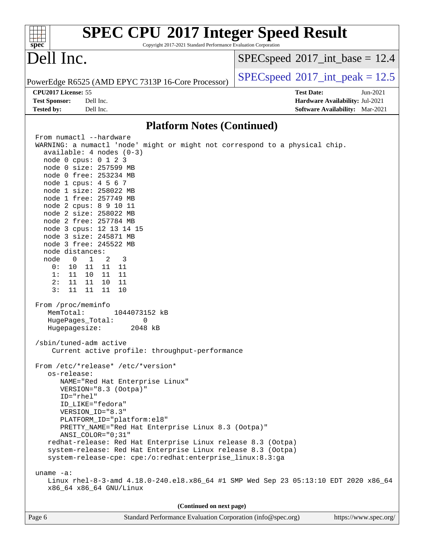| <b>SPEC CPU®2017 Integer Speed Result</b><br>spec <sup>®</sup><br>Copyright 2017-2021 Standard Performance Evaluation Corporation |                                            |
|-----------------------------------------------------------------------------------------------------------------------------------|--------------------------------------------|
| Dell Inc.                                                                                                                         | $SPEC speed^{\circ}2017\_int\_base = 12.4$ |
| PowerEdge R6525 (AMD EPYC 7313P 16-Core Processor)                                                                                | $SPEC speed^{\circ}2017\_int\_peak = 12.5$ |
| CPU2017 License: 55                                                                                                               | <b>Test Date:</b><br>Jun-2021              |
| <b>Test Sponsor:</b><br>Dell Inc.                                                                                                 | Hardware Availability: Jul-2021            |
| <b>Tested by:</b><br>Dell Inc.                                                                                                    | <b>Software Availability:</b> Mar-2021     |
| <b>Platform Notes (Continued)</b>                                                                                                 |                                            |
| From numactl --hardware                                                                                                           |                                            |
| WARNING: a numactl 'node' might or might not correspond to a physical chip.                                                       |                                            |
| available: $4$ nodes $(0-3)$                                                                                                      |                                            |
| node 0 cpus: 0 1 2 3<br>node 0 size: 257599 MB                                                                                    |                                            |
| node 0 free: 253234 MB                                                                                                            |                                            |
| node 1 cpus: 4 5 6 7                                                                                                              |                                            |
| node 1 size: 258022 MB                                                                                                            |                                            |
| node 1 free: 257749 MB                                                                                                            |                                            |
| node 2 cpus: 8 9 10 11                                                                                                            |                                            |
| node 2 size: 258022 MB                                                                                                            |                                            |
| node 2 free: 257784 MB<br>node 3 cpus: 12 13 14 15                                                                                |                                            |
| node 3 size: 245871 MB                                                                                                            |                                            |
| node 3 free: 245522 MB                                                                                                            |                                            |
| node distances:                                                                                                                   |                                            |
| node<br>$\overline{0}$<br>$\mathbf{1}$<br>3<br>2                                                                                  |                                            |
| 0:<br>10<br>11<br>11<br>11                                                                                                        |                                            |
| 1:<br>11<br>11<br>11<br>10                                                                                                        |                                            |
| 2:<br>11<br>11<br>10<br>11<br>3:<br>11<br>11<br>11<br>10                                                                          |                                            |
|                                                                                                                                   |                                            |
| From /proc/meminfo                                                                                                                |                                            |
| MemTotal:<br>1044073152 kB                                                                                                        |                                            |
| HugePages_Total:<br>0                                                                                                             |                                            |
| Hugepagesize:<br>2048 kB                                                                                                          |                                            |
| /sbin/tuned-adm active                                                                                                            |                                            |
| Current active profile: throughput-performance                                                                                    |                                            |
|                                                                                                                                   |                                            |
| From /etc/*release* /etc/*version*                                                                                                |                                            |
| os-release:                                                                                                                       |                                            |
| NAME="Red Hat Enterprise Linux"                                                                                                   |                                            |
| VERSION="8.3 (Ootpa)"<br>ID="rhel"                                                                                                |                                            |
| ID LIKE="fedora"                                                                                                                  |                                            |
| VERSION_ID="8.3"                                                                                                                  |                                            |
| PLATFORM_ID="platform:el8"                                                                                                        |                                            |
| PRETTY_NAME="Red Hat Enterprise Linux 8.3 (Ootpa)"                                                                                |                                            |
| ANSI_COLOR="0;31"                                                                                                                 |                                            |
| redhat-release: Red Hat Enterprise Linux release 8.3 (Ootpa)                                                                      |                                            |
| system-release: Red Hat Enterprise Linux release 8.3 (Ootpa)                                                                      |                                            |
| system-release-cpe: cpe:/o:redhat:enterprise_linux:8.3:ga                                                                         |                                            |
| uname $-a$ :                                                                                                                      |                                            |
| Linux rhel-8-3-amd 4.18.0-240.el8.x86_64 #1 SMP Wed Sep 23 05:13:10 EDT 2020 x86_64<br>x86_64 x86_64 GNU/Linux                    |                                            |
| (Continued on next page)                                                                                                          |                                            |
|                                                                                                                                   |                                            |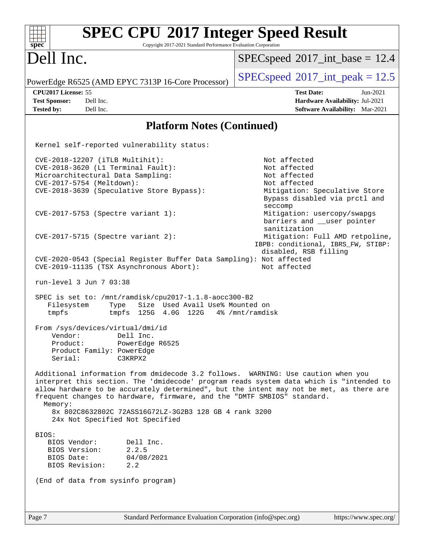| <b>SPEC CPU®2017 Integer Speed Result</b><br>Copyright 2017-2021 Standard Performance Evaluation Corporation<br>spec <sup>®</sup>                                                                                                                                                                                                                                                                                                                         |                                                                                                                                                                                                         |
|-----------------------------------------------------------------------------------------------------------------------------------------------------------------------------------------------------------------------------------------------------------------------------------------------------------------------------------------------------------------------------------------------------------------------------------------------------------|---------------------------------------------------------------------------------------------------------------------------------------------------------------------------------------------------------|
| Dell Inc.                                                                                                                                                                                                                                                                                                                                                                                                                                                 | $SPEC speed^{\circ}2017\_int\_base = 12.4$                                                                                                                                                              |
| PowerEdge R6525 (AMD EPYC 7313P 16-Core Processor)                                                                                                                                                                                                                                                                                                                                                                                                        | $SPEC speed^{\circ}2017\_int\_peak = 12.5$                                                                                                                                                              |
| CPU2017 License: 55<br><b>Test Sponsor:</b><br>Dell Inc.<br><b>Tested by:</b><br>Dell Inc.                                                                                                                                                                                                                                                                                                                                                                | <b>Test Date:</b><br>Jun-2021<br>Hardware Availability: Jul-2021<br>Software Availability: Mar-2021                                                                                                     |
| <b>Platform Notes (Continued)</b>                                                                                                                                                                                                                                                                                                                                                                                                                         |                                                                                                                                                                                                         |
| Kernel self-reported vulnerability status:                                                                                                                                                                                                                                                                                                                                                                                                                |                                                                                                                                                                                                         |
| CVE-2018-12207 (iTLB Multihit):<br>CVE-2018-3620 (L1 Terminal Fault):<br>Microarchitectural Data Sampling:<br>CVE-2017-5754 (Meltdown):<br>CVE-2018-3639 (Speculative Store Bypass):<br>CVE-2017-5753 (Spectre variant 1):                                                                                                                                                                                                                                | Not affected<br>Not affected<br>Not affected<br>Not affected<br>Mitigation: Speculative Store<br>Bypass disabled via prctl and<br>seccomp<br>Mitigation: usercopy/swapgs<br>barriers and __user pointer |
| $CVE-2017-5715$ (Spectre variant 2):<br>CVE-2020-0543 (Special Register Buffer Data Sampling): Not affected                                                                                                                                                                                                                                                                                                                                               | sanitization<br>Mitigation: Full AMD retpoline,<br>IBPB: conditional, IBRS_FW, STIBP:<br>disabled, RSB filling                                                                                          |
| CVE-2019-11135 (TSX Asynchronous Abort):<br>run-level 3 Jun 7 03:38<br>SPEC is set to: /mnt/ramdisk/cpu2017-1.1.8-aocc300-B2                                                                                                                                                                                                                                                                                                                              | Not affected                                                                                                                                                                                            |
| Size Used Avail Use% Mounted on<br>Filesystem<br>Type<br>tmpfs<br>tmpfs $125G$ 4.0G $122G$ 4% /mnt/ramdisk<br>From /sys/devices/virtual/dmi/id<br>Dell Inc.                                                                                                                                                                                                                                                                                               |                                                                                                                                                                                                         |
| Vendor:<br>Product:<br>PowerEdge R6525<br>Product Family: PowerEdge<br>Serial:<br>C3KRPX2                                                                                                                                                                                                                                                                                                                                                                 |                                                                                                                                                                                                         |
| Additional information from dmidecode 3.2 follows. WARNING: Use caution when you<br>interpret this section. The 'dmidecode' program reads system data which is "intended to<br>allow hardware to be accurately determined", but the intent may not be met, as there are<br>frequent changes to hardware, firmware, and the "DMTF SMBIOS" standard.<br>Memory:<br>8x 802C8632802C 72ASS16G72LZ-3G2B3 128 GB 4 rank 3200<br>24x Not Specified Not Specified |                                                                                                                                                                                                         |
| BIOS:<br>BIOS Vendor:<br>Dell Inc.<br>2.2.5<br>BIOS Version:<br>BIOS Date:<br>04/08/2021<br>BIOS Revision:<br>2.2                                                                                                                                                                                                                                                                                                                                         |                                                                                                                                                                                                         |
| (End of data from sysinfo program)                                                                                                                                                                                                                                                                                                                                                                                                                        |                                                                                                                                                                                                         |
| Page 7<br>Standard Performance Evaluation Corporation (info@spec.org)                                                                                                                                                                                                                                                                                                                                                                                     | https://www.spec.org/                                                                                                                                                                                   |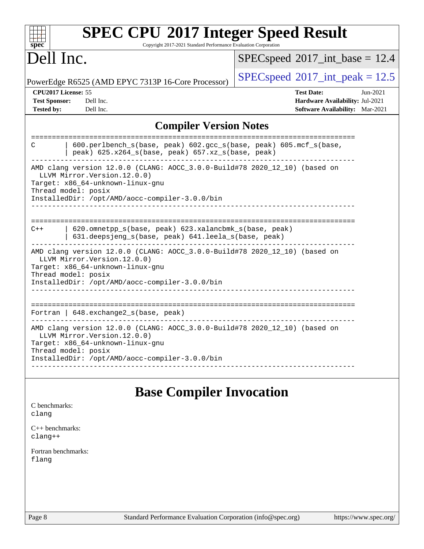| <b>SPEC CPU®2017 Integer Speed Result</b><br>Copyright 2017-2021 Standard Performance Evaluation Corporation<br>spec <sup>®</sup>                                                                                        |                                                                                                              |  |  |  |
|--------------------------------------------------------------------------------------------------------------------------------------------------------------------------------------------------------------------------|--------------------------------------------------------------------------------------------------------------|--|--|--|
| Dell Inc.                                                                                                                                                                                                                | $SPEC speed^{\circ}2017\_int\_base = 12.4$                                                                   |  |  |  |
| PowerEdge R6525 (AMD EPYC 7313P 16-Core Processor)                                                                                                                                                                       | $SPEC speed^{\circ}2017\_int\_peak = 12.5$                                                                   |  |  |  |
| CPU2017 License: 55<br><b>Test Sponsor:</b><br>Dell Inc.<br>Dell Inc.<br><b>Tested by:</b>                                                                                                                               | <b>Test Date:</b><br>$Jun-2021$<br>Hardware Availability: Jul-2021<br><b>Software Availability:</b> Mar-2021 |  |  |  |
| <b>Compiler Version Notes</b>                                                                                                                                                                                            |                                                                                                              |  |  |  |
| ========================<br>600.perlbench_s(base, peak) 602.gcc_s(base, peak) 605.mcf_s(base,<br>С<br>peak) 625.x264_s(base, peak) 657.xz_s(base, peak)                                                                  |                                                                                                              |  |  |  |
| AMD clang version 12.0.0 (CLANG: AOCC_3.0.0-Build#78 2020_12_10) (based on<br>LLVM Mirror. Version. 12.0.0)<br>Target: x86_64-unknown-linux-gnu<br>Thread model: posix<br>InstalledDir: /opt/AMD/aocc-compiler-3.0.0/bin |                                                                                                              |  |  |  |
| 620.omnetpp_s(base, peak) 623.xalancbmk_s(base, peak)<br>$C++$<br>631.deepsjeng_s(base, peak) 641.leela_s(base, peak)                                                                                                    |                                                                                                              |  |  |  |
| AMD clang version 12.0.0 (CLANG: AOCC_3.0.0-Build#78 2020_12_10) (based on<br>LLVM Mirror. Version. 12.0.0)<br>Target: x86_64-unknown-linux-gnu<br>Thread model: posix<br>InstalledDir: /opt/AMD/aocc-compiler-3.0.0/bin |                                                                                                              |  |  |  |
| Fortran   648. exchange2_s(base, peak)                                                                                                                                                                                   |                                                                                                              |  |  |  |
| AMD clang version 12.0.0 (CLANG: AOCC_3.0.0-Build#78 2020_12_10) (based on<br>LLVM Mirror. Version. 12.0.0)<br>Target: x86_64-unknown-linux-gnu<br>Thread model: posix<br>InstalledDir: /opt/AMD/aocc-compiler-3.0.0/bin |                                                                                                              |  |  |  |
| <b>Base Compiler Invocation</b><br>C benchmarks:                                                                                                                                                                         |                                                                                                              |  |  |  |

| clang |  |
|-------|--|
|       |  |
|       |  |

[C++ benchmarks:](http://www.spec.org/auto/cpu2017/Docs/result-fields.html#CXXbenchmarks) [clang++](http://www.spec.org/cpu2017/results/res2021q3/cpu2017-20210716-28159.flags.html#user_CXXbase_clang-cpp)

[Fortran benchmarks](http://www.spec.org/auto/cpu2017/Docs/result-fields.html#Fortranbenchmarks): [flang](http://www.spec.org/cpu2017/results/res2021q3/cpu2017-20210716-28159.flags.html#user_FCbase_flang)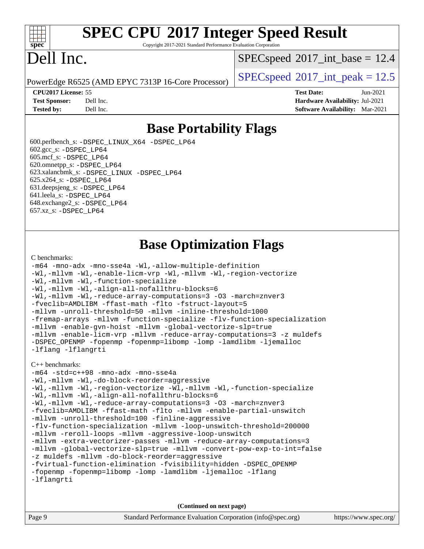

# **[SPEC CPU](http://www.spec.org/auto/cpu2017/Docs/result-fields.html#SPECCPU2017IntegerSpeedResult)[2017 Integer Speed Result](http://www.spec.org/auto/cpu2017/Docs/result-fields.html#SPECCPU2017IntegerSpeedResult)**

Copyright 2017-2021 Standard Performance Evaluation Corporation

# Dell Inc.

 $SPECspeed^{\circ}2017\_int\_base = 12.4$  $SPECspeed^{\circ}2017\_int\_base = 12.4$ 

PowerEdge R6525 (AMD EPYC 7313P 16-Core Processor)  $\left|$  [SPECspeed](http://www.spec.org/auto/cpu2017/Docs/result-fields.html#SPECspeed2017intpeak)®[2017\\_int\\_peak = 1](http://www.spec.org/auto/cpu2017/Docs/result-fields.html#SPECspeed2017intpeak)2.5

**[CPU2017 License:](http://www.spec.org/auto/cpu2017/Docs/result-fields.html#CPU2017License)** 55 **[Test Date:](http://www.spec.org/auto/cpu2017/Docs/result-fields.html#TestDate)** Jun-2021 **[Test Sponsor:](http://www.spec.org/auto/cpu2017/Docs/result-fields.html#TestSponsor)** Dell Inc. **[Hardware Availability:](http://www.spec.org/auto/cpu2017/Docs/result-fields.html#HardwareAvailability)** Jul-2021 **[Tested by:](http://www.spec.org/auto/cpu2017/Docs/result-fields.html#Testedby)** Dell Inc. **[Software Availability:](http://www.spec.org/auto/cpu2017/Docs/result-fields.html#SoftwareAvailability)** Mar-2021

### **[Base Portability Flags](http://www.spec.org/auto/cpu2017/Docs/result-fields.html#BasePortabilityFlags)**

 600.perlbench\_s: [-DSPEC\\_LINUX\\_X64](http://www.spec.org/cpu2017/results/res2021q3/cpu2017-20210716-28159.flags.html#b600.perlbench_s_basePORTABILITY_DSPEC_LINUX_X64) [-DSPEC\\_LP64](http://www.spec.org/cpu2017/results/res2021q3/cpu2017-20210716-28159.flags.html#b600.perlbench_s_baseEXTRA_PORTABILITY_DSPEC_LP64) 602.gcc\_s: [-DSPEC\\_LP64](http://www.spec.org/cpu2017/results/res2021q3/cpu2017-20210716-28159.flags.html#suite_baseEXTRA_PORTABILITY602_gcc_s_DSPEC_LP64) 605.mcf\_s: [-DSPEC\\_LP64](http://www.spec.org/cpu2017/results/res2021q3/cpu2017-20210716-28159.flags.html#suite_baseEXTRA_PORTABILITY605_mcf_s_DSPEC_LP64) 620.omnetpp\_s: [-DSPEC\\_LP64](http://www.spec.org/cpu2017/results/res2021q3/cpu2017-20210716-28159.flags.html#suite_baseEXTRA_PORTABILITY620_omnetpp_s_DSPEC_LP64) 623.xalancbmk\_s: [-DSPEC\\_LINUX](http://www.spec.org/cpu2017/results/res2021q3/cpu2017-20210716-28159.flags.html#b623.xalancbmk_s_basePORTABILITY_DSPEC_LINUX) [-DSPEC\\_LP64](http://www.spec.org/cpu2017/results/res2021q3/cpu2017-20210716-28159.flags.html#suite_baseEXTRA_PORTABILITY623_xalancbmk_s_DSPEC_LP64) 625.x264\_s: [-DSPEC\\_LP64](http://www.spec.org/cpu2017/results/res2021q3/cpu2017-20210716-28159.flags.html#suite_baseEXTRA_PORTABILITY625_x264_s_DSPEC_LP64) 631.deepsjeng\_s: [-DSPEC\\_LP64](http://www.spec.org/cpu2017/results/res2021q3/cpu2017-20210716-28159.flags.html#suite_baseEXTRA_PORTABILITY631_deepsjeng_s_DSPEC_LP64) 641.leela\_s: [-DSPEC\\_LP64](http://www.spec.org/cpu2017/results/res2021q3/cpu2017-20210716-28159.flags.html#suite_baseEXTRA_PORTABILITY641_leela_s_DSPEC_LP64) 648.exchange2\_s: [-DSPEC\\_LP64](http://www.spec.org/cpu2017/results/res2021q3/cpu2017-20210716-28159.flags.html#suite_baseEXTRA_PORTABILITY648_exchange2_s_DSPEC_LP64) 657.xz\_s: [-DSPEC\\_LP64](http://www.spec.org/cpu2017/results/res2021q3/cpu2017-20210716-28159.flags.html#suite_baseEXTRA_PORTABILITY657_xz_s_DSPEC_LP64)

### **[Base Optimization Flags](http://www.spec.org/auto/cpu2017/Docs/result-fields.html#BaseOptimizationFlags)**

### [C benchmarks](http://www.spec.org/auto/cpu2017/Docs/result-fields.html#Cbenchmarks):

```
-m64 -mno-adx -mno-sse4a -Wl,-allow-multiple-definition
-Wl,-mllvm -Wl,-enable-licm-vrp -Wl,-mllvm -Wl,-region-vectorize
-Wl,-mllvm -Wl,-function-specialize
-Wl,-mllvm -Wl,-align-all-nofallthru-blocks=6
-Wl,-mllvm -Wl,-reduce-array-computations=3 -O3 -march=znver3
-fveclib=AMDLIBM -ffast-math -flto -fstruct-layout=5
-mllvm -unroll-threshold=50 -mllvm -inline-threshold=1000
-fremap-arrays -mllvm -function-specialize -flv-function-specialization
-mllvm -enable-gvn-hoist -mllvm -global-vectorize-slp=true
-mllvm -enable-licm-vrp -mllvm -reduce-array-computations=3 -z muldefs
-DSPEC_OPENMP -fopenmp -fopenmp=libomp -lomp -lamdlibm -ljemalloc
-lflang -lflangrti
```
#### [C++ benchmarks:](http://www.spec.org/auto/cpu2017/Docs/result-fields.html#CXXbenchmarks)

```
-m64 -std=c++98 -mno-adx -mno-sse4a
-Wl,-mllvm -Wl,-do-block-reorder=aggressive
-Wl,-mllvm -Wl,-region-vectorize -Wl,-mllvm -Wl,-function-specialize
-Wl,-mllvm -Wl,-align-all-nofallthru-blocks=6
-Wl,-mllvm -Wl,-reduce-array-computations=3 -O3 -march=znver3
-fveclib=AMDLIBM -ffast-math -flto -mllvm -enable-partial-unswitch
-mllvm -unroll-threshold=100 -finline-aggressive
-flv-function-specialization -mllvm -loop-unswitch-threshold=200000
-mllvm -reroll-loops -mllvm -aggressive-loop-unswitch
-mllvm -extra-vectorizer-passes -mllvm -reduce-array-computations=3
-mllvm -global-vectorize-slp=true -mllvm -convert-pow-exp-to-int=false
-z muldefs -mllvm -do-block-reorder=aggressive
-fvirtual-function-elimination -fvisibility=hidden -DSPEC_OPENMP
-fopenmp -fopenmp=libomp -lomp -lamdlibm -ljemalloc -lflang
-lflangrti
```
**(Continued on next page)**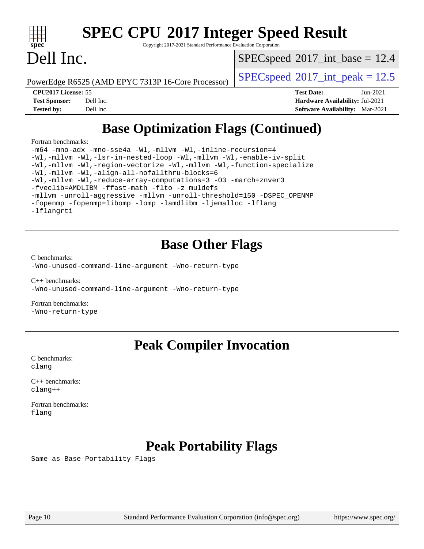

# **[SPEC CPU](http://www.spec.org/auto/cpu2017/Docs/result-fields.html#SPECCPU2017IntegerSpeedResult)[2017 Integer Speed Result](http://www.spec.org/auto/cpu2017/Docs/result-fields.html#SPECCPU2017IntegerSpeedResult)**

Copyright 2017-2021 Standard Performance Evaluation Corporation

# Dell Inc.

 $SPECspeed^{\circ}2017\_int\_base = 12.4$  $SPECspeed^{\circ}2017\_int\_base = 12.4$ 

PowerEdge R6525 (AMD EPYC 7313P 16-Core Processor)  $\left|$  [SPECspeed](http://www.spec.org/auto/cpu2017/Docs/result-fields.html#SPECspeed2017intpeak)®[2017\\_int\\_peak = 1](http://www.spec.org/auto/cpu2017/Docs/result-fields.html#SPECspeed2017intpeak)2.5

**[CPU2017 License:](http://www.spec.org/auto/cpu2017/Docs/result-fields.html#CPU2017License)** 55 **[Test Date:](http://www.spec.org/auto/cpu2017/Docs/result-fields.html#TestDate)** Jun-2021 **[Test Sponsor:](http://www.spec.org/auto/cpu2017/Docs/result-fields.html#TestSponsor)** Dell Inc. **[Hardware Availability:](http://www.spec.org/auto/cpu2017/Docs/result-fields.html#HardwareAvailability)** Jul-2021 **[Tested by:](http://www.spec.org/auto/cpu2017/Docs/result-fields.html#Testedby)** Dell Inc. **[Software Availability:](http://www.spec.org/auto/cpu2017/Docs/result-fields.html#SoftwareAvailability)** Mar-2021

## **[Base Optimization Flags \(Continued\)](http://www.spec.org/auto/cpu2017/Docs/result-fields.html#BaseOptimizationFlags)**

[Fortran benchmarks](http://www.spec.org/auto/cpu2017/Docs/result-fields.html#Fortranbenchmarks):

[-m64](http://www.spec.org/cpu2017/results/res2021q3/cpu2017-20210716-28159.flags.html#user_FCbase_F-m64) [-mno-adx](http://www.spec.org/cpu2017/results/res2021q3/cpu2017-20210716-28159.flags.html#user_FCbase_F-mno-adx) [-mno-sse4a](http://www.spec.org/cpu2017/results/res2021q3/cpu2017-20210716-28159.flags.html#user_FCbase_F-mno-sse4a) [-Wl,-mllvm -Wl,-inline-recursion=4](http://www.spec.org/cpu2017/results/res2021q3/cpu2017-20210716-28159.flags.html#user_FCbase_F-inline-recursion) [-Wl,-mllvm -Wl,-lsr-in-nested-loop](http://www.spec.org/cpu2017/results/res2021q3/cpu2017-20210716-28159.flags.html#user_FCbase_F-lsr-in-nested-loop) [-Wl,-mllvm -Wl,-enable-iv-split](http://www.spec.org/cpu2017/results/res2021q3/cpu2017-20210716-28159.flags.html#user_FCbase_F-enable-iv-split) [-Wl,-mllvm -Wl,-region-vectorize](http://www.spec.org/cpu2017/results/res2021q3/cpu2017-20210716-28159.flags.html#user_FCbase_F-region-vectorize_fb6c6b5aa293c88efc6c7c2b52b20755e943585b1fe8658c35afef78727fff56e1a56891413c30e36b8e2a6f9a71126986319243e80eb6110b78b288f533c52b) [-Wl,-mllvm -Wl,-function-specialize](http://www.spec.org/cpu2017/results/res2021q3/cpu2017-20210716-28159.flags.html#user_FCbase_F-function-specialize_7e7e661e57922243ee67c9a1251cb8910e607325179a0ce7f2884e09a6f5d4a5ef0ae4f37e8a2a11c95fc48e931f06dc2b6016f14b511fcb441e048bef1b065a) [-Wl,-mllvm -Wl,-align-all-nofallthru-blocks=6](http://www.spec.org/cpu2017/results/res2021q3/cpu2017-20210716-28159.flags.html#user_FCbase_F-align-all-nofallthru-blocks) [-Wl,-mllvm -Wl,-reduce-array-computations=3](http://www.spec.org/cpu2017/results/res2021q3/cpu2017-20210716-28159.flags.html#user_FCbase_F-reduce-array-computations_b882aefe7a5dda4e33149f6299762b9a720dace3e498e13756f4c04e5a19edf5315c1f3993de2e61ec41e8c206231f84e05da7040e1bb5d69ba27d10a12507e4) [-O3](http://www.spec.org/cpu2017/results/res2021q3/cpu2017-20210716-28159.flags.html#user_FCbase_F-O3) [-march=znver3](http://www.spec.org/cpu2017/results/res2021q3/cpu2017-20210716-28159.flags.html#user_FCbase_aocc-march) [-fveclib=AMDLIBM](http://www.spec.org/cpu2017/results/res2021q3/cpu2017-20210716-28159.flags.html#user_FCbase_F-fveclib) [-ffast-math](http://www.spec.org/cpu2017/results/res2021q3/cpu2017-20210716-28159.flags.html#user_FCbase_aocc-ffast-math) [-flto](http://www.spec.org/cpu2017/results/res2021q3/cpu2017-20210716-28159.flags.html#user_FCbase_aocc-flto) [-z muldefs](http://www.spec.org/cpu2017/results/res2021q3/cpu2017-20210716-28159.flags.html#user_FCbase_aocc-muldefs) [-mllvm -unroll-aggressive](http://www.spec.org/cpu2017/results/res2021q3/cpu2017-20210716-28159.flags.html#user_FCbase_F-unroll-aggressive) [-mllvm -unroll-threshold=150](http://www.spec.org/cpu2017/results/res2021q3/cpu2017-20210716-28159.flags.html#user_FCbase_F-unroll-threshold_3352736ce55666ed13437f5f5fd6693920e68d4dfd26bba42492bb1c46b6d7692ff5ba7bd4d2ebdab48d140ca981a39154ff0664b4d322a66fc3d1aafa4d7ffe) [-DSPEC\\_OPENMP](http://www.spec.org/cpu2017/results/res2021q3/cpu2017-20210716-28159.flags.html#suite_FCbase_DSPEC_OPENMP) [-fopenmp](http://www.spec.org/cpu2017/results/res2021q3/cpu2017-20210716-28159.flags.html#user_FCbase_aocc-fopenmp) [-fopenmp=libomp](http://www.spec.org/cpu2017/results/res2021q3/cpu2017-20210716-28159.flags.html#user_FCbase_aocc-fopenmp_3eb6ab80166bcc84161ff8c20c8d5bc344f88119f45620444596454f7d72e99b7a0ceefc2d1b4d190bd07306bbfdfc20f11f5a2dc69c9b03c72239f8406741c3) [-lomp](http://www.spec.org/cpu2017/results/res2021q3/cpu2017-20210716-28159.flags.html#user_FCbase_F-lomp) [-lamdlibm](http://www.spec.org/cpu2017/results/res2021q3/cpu2017-20210716-28159.flags.html#user_FCbase_F-lamdlibm) [-ljemalloc](http://www.spec.org/cpu2017/results/res2021q3/cpu2017-20210716-28159.flags.html#user_FCbase_jemalloc-lib) [-lflang](http://www.spec.org/cpu2017/results/res2021q3/cpu2017-20210716-28159.flags.html#user_FCbase_F-lflang) [-lflangrti](http://www.spec.org/cpu2017/results/res2021q3/cpu2017-20210716-28159.flags.html#user_FCbase_F-lflangrti)

### **[Base Other Flags](http://www.spec.org/auto/cpu2017/Docs/result-fields.html#BaseOtherFlags)**

[C benchmarks](http://www.spec.org/auto/cpu2017/Docs/result-fields.html#Cbenchmarks):

[-Wno-unused-command-line-argument](http://www.spec.org/cpu2017/results/res2021q3/cpu2017-20210716-28159.flags.html#user_CCbase_F-Wno-unused-command-line-argument) [-Wno-return-type](http://www.spec.org/cpu2017/results/res2021q3/cpu2017-20210716-28159.flags.html#user_CCbase_F-Waocc-no-return-type)

[C++ benchmarks:](http://www.spec.org/auto/cpu2017/Docs/result-fields.html#CXXbenchmarks) [-Wno-unused-command-line-argument](http://www.spec.org/cpu2017/results/res2021q3/cpu2017-20210716-28159.flags.html#user_CXXbase_F-Wno-unused-command-line-argument) [-Wno-return-type](http://www.spec.org/cpu2017/results/res2021q3/cpu2017-20210716-28159.flags.html#user_CXXbase_F-Waocc-no-return-type)

[Fortran benchmarks](http://www.spec.org/auto/cpu2017/Docs/result-fields.html#Fortranbenchmarks): [-Wno-return-type](http://www.spec.org/cpu2017/results/res2021q3/cpu2017-20210716-28159.flags.html#user_FCbase_F-Waocc-no-return-type)

### **[Peak Compiler Invocation](http://www.spec.org/auto/cpu2017/Docs/result-fields.html#PeakCompilerInvocation)**

[C benchmarks](http://www.spec.org/auto/cpu2017/Docs/result-fields.html#Cbenchmarks): [clang](http://www.spec.org/cpu2017/results/res2021q3/cpu2017-20210716-28159.flags.html#user_CCpeak_clang-c)

[C++ benchmarks:](http://www.spec.org/auto/cpu2017/Docs/result-fields.html#CXXbenchmarks) [clang++](http://www.spec.org/cpu2017/results/res2021q3/cpu2017-20210716-28159.flags.html#user_CXXpeak_clang-cpp)

[Fortran benchmarks](http://www.spec.org/auto/cpu2017/Docs/result-fields.html#Fortranbenchmarks): [flang](http://www.spec.org/cpu2017/results/res2021q3/cpu2017-20210716-28159.flags.html#user_FCpeak_flang)

### **[Peak Portability Flags](http://www.spec.org/auto/cpu2017/Docs/result-fields.html#PeakPortabilityFlags)**

Same as Base Portability Flags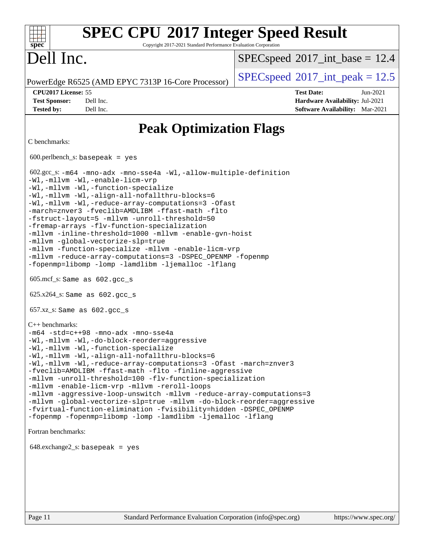### **[SPEC CPU](http://www.spec.org/auto/cpu2017/Docs/result-fields.html#SPECCPU2017IntegerSpeedResult)[2017 Integer Speed Result](http://www.spec.org/auto/cpu2017/Docs/result-fields.html#SPECCPU2017IntegerSpeedResult)**  $+\ +$ **[spec](http://www.spec.org/)** Copyright 2017-2021 Standard Performance Evaluation Corporation Dell Inc.  $SPECspeed^{\circ}2017\_int\_base = 12.4$  $SPECspeed^{\circ}2017\_int\_base = 12.4$ PowerEdge R6525 (AMD EPYC 7313P 16-Core Processor) [SPECspeed](http://www.spec.org/auto/cpu2017/Docs/result-fields.html#SPECspeed2017intpeak)®[2017\\_int\\_peak = 1](http://www.spec.org/auto/cpu2017/Docs/result-fields.html#SPECspeed2017intpeak)2.5 **[CPU2017 License:](http://www.spec.org/auto/cpu2017/Docs/result-fields.html#CPU2017License)** 55 **[Test Date:](http://www.spec.org/auto/cpu2017/Docs/result-fields.html#TestDate)** Jun-2021 **[Test Sponsor:](http://www.spec.org/auto/cpu2017/Docs/result-fields.html#TestSponsor)** Dell Inc. **[Hardware Availability:](http://www.spec.org/auto/cpu2017/Docs/result-fields.html#HardwareAvailability)** Jul-2021 **[Tested by:](http://www.spec.org/auto/cpu2017/Docs/result-fields.html#Testedby)** Dell Inc. **[Software Availability:](http://www.spec.org/auto/cpu2017/Docs/result-fields.html#SoftwareAvailability)** Mar-2021 **[Peak Optimization Flags](http://www.spec.org/auto/cpu2017/Docs/result-fields.html#PeakOptimizationFlags)** [C benchmarks](http://www.spec.org/auto/cpu2017/Docs/result-fields.html#Cbenchmarks): 600.perlbench\_s: basepeak = yes 602.gcc\_s: [-m64](http://www.spec.org/cpu2017/results/res2021q3/cpu2017-20210716-28159.flags.html#user_peakCCLD602_gcc_s_F-m64) [-mno-adx](http://www.spec.org/cpu2017/results/res2021q3/cpu2017-20210716-28159.flags.html#user_peakCC602_gcc_s_F-mno-adx) [-mno-sse4a](http://www.spec.org/cpu2017/results/res2021q3/cpu2017-20210716-28159.flags.html#user_peakCC602_gcc_s_F-mno-sse4a) [-Wl,-allow-multiple-definition](http://www.spec.org/cpu2017/results/res2021q3/cpu2017-20210716-28159.flags.html#user_peakLDCFLAGS602_gcc_s_F-allow-multiple-definition_970930b9380f536892d286f43fe3aa60143711811517403e860b887d69527ebeb0ce7f1b66302f2a87b3cab7b5adae5fa57fa46168627b86a7718b21636cd604) [-Wl,-mllvm -Wl,-enable-licm-vrp](http://www.spec.org/cpu2017/results/res2021q3/cpu2017-20210716-28159.flags.html#user_peakLDCFLAGS602_gcc_s_F-enable-licm-vrp_65c4fc69039207ec88421e1591ba3bbf2ac715c2f390cac268ece6f40ae7757bd65f971ef38c9b70aedd2bf37e4037d3d64a7fe88db6aed78b6f244274772259) [-Wl,-mllvm -Wl,-function-specialize](http://www.spec.org/cpu2017/results/res2021q3/cpu2017-20210716-28159.flags.html#user_peakEXTRA_LDFLAGS602_gcc_s_F-function-specialize_7e7e661e57922243ee67c9a1251cb8910e607325179a0ce7f2884e09a6f5d4a5ef0ae4f37e8a2a11c95fc48e931f06dc2b6016f14b511fcb441e048bef1b065a) [-Wl,-mllvm -Wl,-align-all-nofallthru-blocks=6](http://www.spec.org/cpu2017/results/res2021q3/cpu2017-20210716-28159.flags.html#user_peakEXTRA_LDFLAGS602_gcc_s_F-align-all-nofallthru-blocks) [-Wl,-mllvm -Wl,-reduce-array-computations=3](http://www.spec.org/cpu2017/results/res2021q3/cpu2017-20210716-28159.flags.html#user_peakEXTRA_LDFLAGS602_gcc_s_F-reduce-array-computations_b882aefe7a5dda4e33149f6299762b9a720dace3e498e13756f4c04e5a19edf5315c1f3993de2e61ec41e8c206231f84e05da7040e1bb5d69ba27d10a12507e4) [-Ofast](http://www.spec.org/cpu2017/results/res2021q3/cpu2017-20210716-28159.flags.html#user_peakCOPTIMIZE602_gcc_s_aocc-Ofast) [-march=znver3](http://www.spec.org/cpu2017/results/res2021q3/cpu2017-20210716-28159.flags.html#user_peakCOPTIMIZE602_gcc_s_aocc-march) [-fveclib=AMDLIBM](http://www.spec.org/cpu2017/results/res2021q3/cpu2017-20210716-28159.flags.html#user_peakCOPTIMIZE602_gcc_s_F-fveclib) [-ffast-math](http://www.spec.org/cpu2017/results/res2021q3/cpu2017-20210716-28159.flags.html#user_peakCOPTIMIZE602_gcc_s_aocc-ffast-math) [-flto](http://www.spec.org/cpu2017/results/res2021q3/cpu2017-20210716-28159.flags.html#user_peakCOPTIMIZE602_gcc_s_aocc-flto) [-fstruct-layout=5](http://www.spec.org/cpu2017/results/res2021q3/cpu2017-20210716-28159.flags.html#user_peakCOPTIMIZE602_gcc_s_F-struct-layout) [-mllvm -unroll-threshold=50](http://www.spec.org/cpu2017/results/res2021q3/cpu2017-20210716-28159.flags.html#user_peakCOPTIMIZE602_gcc_s_F-unroll-threshold_458874500b2c105d6d5cb4d7a611c40e2b16e9e3d26b355fea72d644c3673b4de4b3932662f0ed3dbec75c491a13da2d2ca81180bd779dc531083ef1e1e549dc) [-fremap-arrays](http://www.spec.org/cpu2017/results/res2021q3/cpu2017-20210716-28159.flags.html#user_peakCOPTIMIZE602_gcc_s_F-fremap-arrays) [-flv-function-specialization](http://www.spec.org/cpu2017/results/res2021q3/cpu2017-20210716-28159.flags.html#user_peakCOPTIMIZE602_gcc_s_F-flv-function-specialization) [-mllvm -inline-threshold=1000](http://www.spec.org/cpu2017/results/res2021q3/cpu2017-20210716-28159.flags.html#user_peakCOPTIMIZE602_gcc_s_F-inline-threshold_b7832241b0a6397e4ecdbaf0eb7defdc10f885c2a282fa3240fdc99844d543fda39cf8a4a9dccf68cf19b5438ac3b455264f478df15da0f4988afa40d8243bab) [-mllvm -enable-gvn-hoist](http://www.spec.org/cpu2017/results/res2021q3/cpu2017-20210716-28159.flags.html#user_peakCOPTIMIZE602_gcc_s_F-enable-gvn-hoist_e5856354646dd6ca1333a0ad99b817e4cf8932b91b82809fd8fd47ceff7b22a89eba5c98fd3e3fa5200368fd772cec3dd56abc3c8f7b655a71b9f9848dddedd5) [-mllvm -global-vectorize-slp=true](http://www.spec.org/cpu2017/results/res2021q3/cpu2017-20210716-28159.flags.html#user_peakCOPTIMIZE602_gcc_s_F-global-vectorize-slp_f701c289ed3fc79483844cad3672606d268e3123d2651e764a36e57810b634b30ff7af25c43ce4288d0e4c1cc47ba156fce6ed971bc0d0e53c4c557f353d3dec) [-mllvm -function-specialize](http://www.spec.org/cpu2017/results/res2021q3/cpu2017-20210716-28159.flags.html#user_peakCOPTIMIZE602_gcc_s_F-function-specialize_233b3bdba86027f1b094368157e481c5bc59f40286dc25bfadc1858dcd5745c24fd30d5f188710db7fea399bcc9f44a80b3ce3aacc70a8870250c3ae5e1f35b8) [-mllvm -enable-licm-vrp](http://www.spec.org/cpu2017/results/res2021q3/cpu2017-20210716-28159.flags.html#user_peakCOPTIMIZE602_gcc_s_F-enable-licm-vrp_82fd83574dee81d8c8043a1355024a53ba7c23d449242d72368fd778ae4cd8625fb6c8e473e88c632367ccc13b0c321b9a13b8db897fcfc1592cf0205fd356b5) [-mllvm -reduce-array-computations=3](http://www.spec.org/cpu2017/results/res2021q3/cpu2017-20210716-28159.flags.html#user_peakCOPTIMIZE602_gcc_s_F-reduce-array-computations) [-DSPEC\\_OPENMP](http://www.spec.org/cpu2017/results/res2021q3/cpu2017-20210716-28159.flags.html#suite_peakEXTRA_OPTIMIZE602_gcc_s_DSPEC_OPENMP) [-fopenmp](http://www.spec.org/cpu2017/results/res2021q3/cpu2017-20210716-28159.flags.html#user_peakEXTRA_OPTIMIZE602_gcc_s_aocc-fopenmp) [-fopenmp=libomp](http://www.spec.org/cpu2017/results/res2021q3/cpu2017-20210716-28159.flags.html#user_peakEXTRA_LIBS602_gcc_s_aocc-fopenmp_3eb6ab80166bcc84161ff8c20c8d5bc344f88119f45620444596454f7d72e99b7a0ceefc2d1b4d190bd07306bbfdfc20f11f5a2dc69c9b03c72239f8406741c3) [-lomp](http://www.spec.org/cpu2017/results/res2021q3/cpu2017-20210716-28159.flags.html#user_peakEXTRA_LIBS602_gcc_s_F-lomp) [-lamdlibm](http://www.spec.org/cpu2017/results/res2021q3/cpu2017-20210716-28159.flags.html#user_peakEXTRA_LIBS602_gcc_s_F-lamdlibm) [-ljemalloc](http://www.spec.org/cpu2017/results/res2021q3/cpu2017-20210716-28159.flags.html#user_peakEXTRA_LIBS602_gcc_s_jemalloc-lib) [-lflang](http://www.spec.org/cpu2017/results/res2021q3/cpu2017-20210716-28159.flags.html#user_peakEXTRA_LIBS602_gcc_s_F-lflang) 605.mcf\_s: Same as 602.gcc\_s 625.x264\_s: Same as 602.gcc\_s 657.xz\_s: Same as 602.gcc\_s [C++ benchmarks](http://www.spec.org/auto/cpu2017/Docs/result-fields.html#CXXbenchmarks): [-m64](http://www.spec.org/cpu2017/results/res2021q3/cpu2017-20210716-28159.flags.html#user_CXXpeak_F-m64) [-std=c++98](http://www.spec.org/cpu2017/results/res2021q3/cpu2017-20210716-28159.flags.html#user_CXXpeak_std-cpp) [-mno-adx](http://www.spec.org/cpu2017/results/res2021q3/cpu2017-20210716-28159.flags.html#user_CXXpeak_F-mno-adx) [-mno-sse4a](http://www.spec.org/cpu2017/results/res2021q3/cpu2017-20210716-28159.flags.html#user_CXXpeak_F-mno-sse4a) [-Wl,-mllvm -Wl,-do-block-reorder=aggressive](http://www.spec.org/cpu2017/results/res2021q3/cpu2017-20210716-28159.flags.html#user_CXXpeak_F-do-block-reorder_5f74e61ee573767a7a801151b896942f7b82b19d6cd9bf8ce970c1e994a093b9201db6c2ab0fa62493e8c1b02c988fb29421a5aa214bf67b5398dfa89747b1b3) [-Wl,-mllvm -Wl,-function-specialize](http://www.spec.org/cpu2017/results/res2021q3/cpu2017-20210716-28159.flags.html#user_CXXpeak_F-function-specialize_7e7e661e57922243ee67c9a1251cb8910e607325179a0ce7f2884e09a6f5d4a5ef0ae4f37e8a2a11c95fc48e931f06dc2b6016f14b511fcb441e048bef1b065a) [-Wl,-mllvm -Wl,-align-all-nofallthru-blocks=6](http://www.spec.org/cpu2017/results/res2021q3/cpu2017-20210716-28159.flags.html#user_CXXpeak_F-align-all-nofallthru-blocks) [-Wl,-mllvm -Wl,-reduce-array-computations=3](http://www.spec.org/cpu2017/results/res2021q3/cpu2017-20210716-28159.flags.html#user_CXXpeak_F-reduce-array-computations_b882aefe7a5dda4e33149f6299762b9a720dace3e498e13756f4c04e5a19edf5315c1f3993de2e61ec41e8c206231f84e05da7040e1bb5d69ba27d10a12507e4) [-Ofast](http://www.spec.org/cpu2017/results/res2021q3/cpu2017-20210716-28159.flags.html#user_CXXpeak_aocc-Ofast) [-march=znver3](http://www.spec.org/cpu2017/results/res2021q3/cpu2017-20210716-28159.flags.html#user_CXXpeak_aocc-march) [-fveclib=AMDLIBM](http://www.spec.org/cpu2017/results/res2021q3/cpu2017-20210716-28159.flags.html#user_CXXpeak_F-fveclib) [-ffast-math](http://www.spec.org/cpu2017/results/res2021q3/cpu2017-20210716-28159.flags.html#user_CXXpeak_aocc-ffast-math) [-flto](http://www.spec.org/cpu2017/results/res2021q3/cpu2017-20210716-28159.flags.html#user_CXXpeak_aocc-flto) [-finline-aggressive](http://www.spec.org/cpu2017/results/res2021q3/cpu2017-20210716-28159.flags.html#user_CXXpeak_F-finline-aggressive) [-mllvm -unroll-threshold=100](http://www.spec.org/cpu2017/results/res2021q3/cpu2017-20210716-28159.flags.html#user_CXXpeak_F-unroll-threshold) [-flv-function-specialization](http://www.spec.org/cpu2017/results/res2021q3/cpu2017-20210716-28159.flags.html#user_CXXpeak_F-flv-function-specialization) [-mllvm -enable-licm-vrp](http://www.spec.org/cpu2017/results/res2021q3/cpu2017-20210716-28159.flags.html#user_CXXpeak_F-enable-licm-vrp_82fd83574dee81d8c8043a1355024a53ba7c23d449242d72368fd778ae4cd8625fb6c8e473e88c632367ccc13b0c321b9a13b8db897fcfc1592cf0205fd356b5) [-mllvm -reroll-loops](http://www.spec.org/cpu2017/results/res2021q3/cpu2017-20210716-28159.flags.html#user_CXXpeak_F-reroll-loops) [-mllvm -aggressive-loop-unswitch](http://www.spec.org/cpu2017/results/res2021q3/cpu2017-20210716-28159.flags.html#user_CXXpeak_F-aggressive-loop-unswitch_abd8177005d493f9a81f88ae32814acdc0422950e54bc53b0605c538e2e7549eb43d48c826089056b98aa2f0c142dc7ed1401fa1c97db9286a8c3ff748437b59) [-mllvm -reduce-array-computations=3](http://www.spec.org/cpu2017/results/res2021q3/cpu2017-20210716-28159.flags.html#user_CXXpeak_F-reduce-array-computations) [-mllvm -global-vectorize-slp=true](http://www.spec.org/cpu2017/results/res2021q3/cpu2017-20210716-28159.flags.html#user_CXXpeak_F-global-vectorize-slp_f701c289ed3fc79483844cad3672606d268e3123d2651e764a36e57810b634b30ff7af25c43ce4288d0e4c1cc47ba156fce6ed971bc0d0e53c4c557f353d3dec) [-mllvm -do-block-reorder=aggressive](http://www.spec.org/cpu2017/results/res2021q3/cpu2017-20210716-28159.flags.html#user_CXXpeak_F-do-block-reorder) [-fvirtual-function-elimination](http://www.spec.org/cpu2017/results/res2021q3/cpu2017-20210716-28159.flags.html#user_CXXpeak_F-fvirtual-function-elimination) [-fvisibility=hidden](http://www.spec.org/cpu2017/results/res2021q3/cpu2017-20210716-28159.flags.html#user_CXXpeak_F-fvisibility) [-DSPEC\\_OPENMP](http://www.spec.org/cpu2017/results/res2021q3/cpu2017-20210716-28159.flags.html#suite_CXXpeak_DSPEC_OPENMP) [-fopenmp](http://www.spec.org/cpu2017/results/res2021q3/cpu2017-20210716-28159.flags.html#user_CXXpeak_aocc-fopenmp) [-fopenmp=libomp](http://www.spec.org/cpu2017/results/res2021q3/cpu2017-20210716-28159.flags.html#user_CXXpeak_aocc-fopenmp_3eb6ab80166bcc84161ff8c20c8d5bc344f88119f45620444596454f7d72e99b7a0ceefc2d1b4d190bd07306bbfdfc20f11f5a2dc69c9b03c72239f8406741c3) [-lomp](http://www.spec.org/cpu2017/results/res2021q3/cpu2017-20210716-28159.flags.html#user_CXXpeak_F-lomp) [-lamdlibm](http://www.spec.org/cpu2017/results/res2021q3/cpu2017-20210716-28159.flags.html#user_CXXpeak_F-lamdlibm) [-ljemalloc](http://www.spec.org/cpu2017/results/res2021q3/cpu2017-20210716-28159.flags.html#user_CXXpeak_jemalloc-lib) [-lflang](http://www.spec.org/cpu2017/results/res2021q3/cpu2017-20210716-28159.flags.html#user_CXXpeak_F-lflang) [Fortran benchmarks:](http://www.spec.org/auto/cpu2017/Docs/result-fields.html#Fortranbenchmarks) 648.exchange2\_s: basepeak = yes